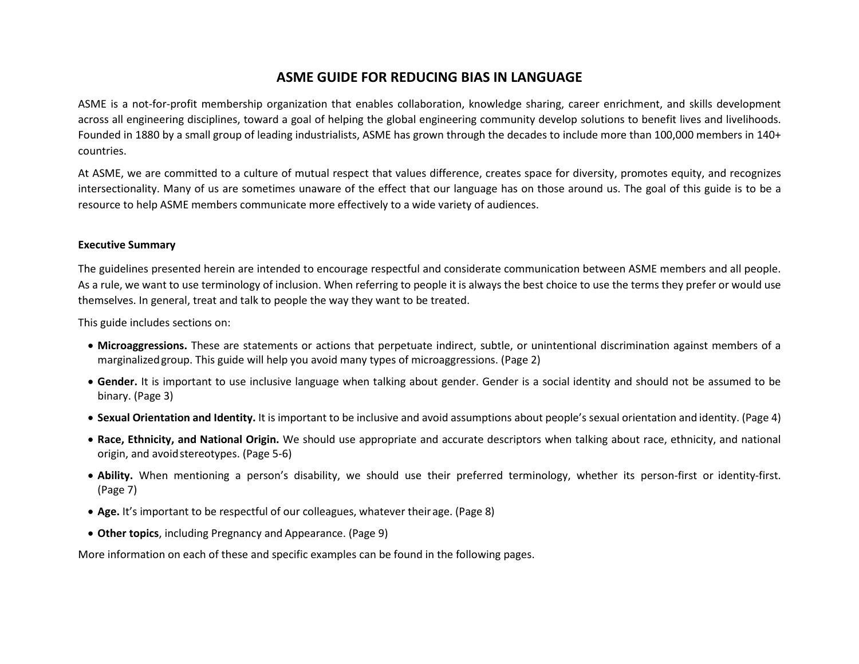#### **ASME GUIDE FOR REDUCING BIAS IN LANGUAGE**

ASME is a not-for-profit membership organization that enables collaboration, knowledge sharing, career enrichment, and skills development across all engineering disciplines, toward a goal of helping the global engineering community develop solutions to benefit lives and livelihoods. Founded in 1880 by a small group of leading industrialists, ASME has grown through the decades to include more than 100,000 members in 140+ countries.

At ASME, we are committed to a culture of mutual respect that values difference, creates space for diversity, promotes equity, and recognizes intersectionality. Many of us are sometimes unaware of the effect that our language has on those around us. The goal of this guide is to be a resource to help ASME members communicate more effectively to a wide variety of audiences.

#### **Executive Summary**

The guidelines presented herein are intended to encourage respectful and considerate communication between ASME members and all people. As a rule, we want to use terminology of inclusion. When referring to people it is always the best choice to use the terms they prefer or would use themselves. In general, treat and talk to people the way they want to be treated.

This guide includes sections on:

- **Microaggressions.** These are statements or actions that perpetuate indirect, subtle, or unintentional discrimination against members of a marginalizedgroup. This guide will help you avoid many types of microaggressions. (Page 2)
- **Gender.** It is important to use inclusive language when talking about gender. Gender is a social identity and should not be assumed to be binary. (Page 3)
- **Sexual Orientation and Identity.** It is important to be inclusive and avoid assumptions about people's sexual orientation and identity. (Page 4)
- **Race, Ethnicity, and National Origin.** We should use appropriate and accurate descriptors when talking about race, ethnicity, and national origin, and avoidstereotypes. (Page 5-6)
- **Ability.** When mentioning a person's disability, we should use their preferred terminology, whether its person-first or identity-first. (Page 7)
- **Age.** It's important to be respectful of our colleagues, whatever theirage. (Page 8)
- **Other topics**, including Pregnancy and Appearance. (Page 9)

More information on each of these and specific examples can be found in the following pages.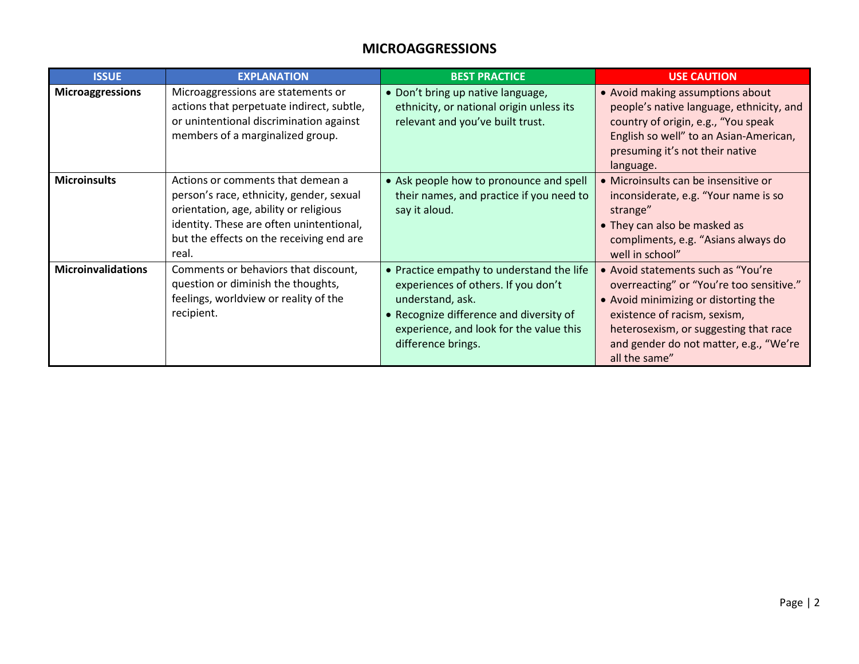#### **MICROAGGRESSIONS**

| <b>ISSUE</b>              | <b>EXPLANATION</b>                                                                                                                                                                                                       | <b>BEST PRACTICE</b>                                                                                                                                                                                             | <b>USE CAUTION</b>                                                                                                                                                                                                                                          |
|---------------------------|--------------------------------------------------------------------------------------------------------------------------------------------------------------------------------------------------------------------------|------------------------------------------------------------------------------------------------------------------------------------------------------------------------------------------------------------------|-------------------------------------------------------------------------------------------------------------------------------------------------------------------------------------------------------------------------------------------------------------|
| <b>Microaggressions</b>   | Microaggressions are statements or<br>actions that perpetuate indirect, subtle,<br>or unintentional discrimination against<br>members of a marginalized group.                                                           | • Don't bring up native language,<br>ethnicity, or national origin unless its<br>relevant and you've built trust.                                                                                                | • Avoid making assumptions about<br>people's native language, ethnicity, and<br>country of origin, e.g., "You speak<br>English so well" to an Asian-American,<br>presuming it's not their native<br>language.                                               |
| <b>Microinsults</b>       | Actions or comments that demean a<br>person's race, ethnicity, gender, sexual<br>orientation, age, ability or religious<br>identity. These are often unintentional,<br>but the effects on the receiving end are<br>real. | • Ask people how to pronounce and spell<br>their names, and practice if you need to<br>say it aloud.                                                                                                             | · Microinsults can be insensitive or<br>inconsiderate, e.g. "Your name is so<br>strange"<br>• They can also be masked as<br>compliments, e.g. "Asians always do<br>well in school"                                                                          |
| <b>Microinvalidations</b> | Comments or behaviors that discount,<br>question or diminish the thoughts,<br>feelings, worldview or reality of the<br>recipient.                                                                                        | • Practice empathy to understand the life<br>experiences of others. If you don't<br>understand, ask.<br>• Recognize difference and diversity of<br>experience, and look for the value this<br>difference brings. | • Avoid statements such as "You're"<br>overreacting" or "You're too sensitive."<br>• Avoid minimizing or distorting the<br>existence of racism, sexism,<br>heterosexism, or suggesting that race<br>and gender do not matter, e.g., "We're<br>all the same" |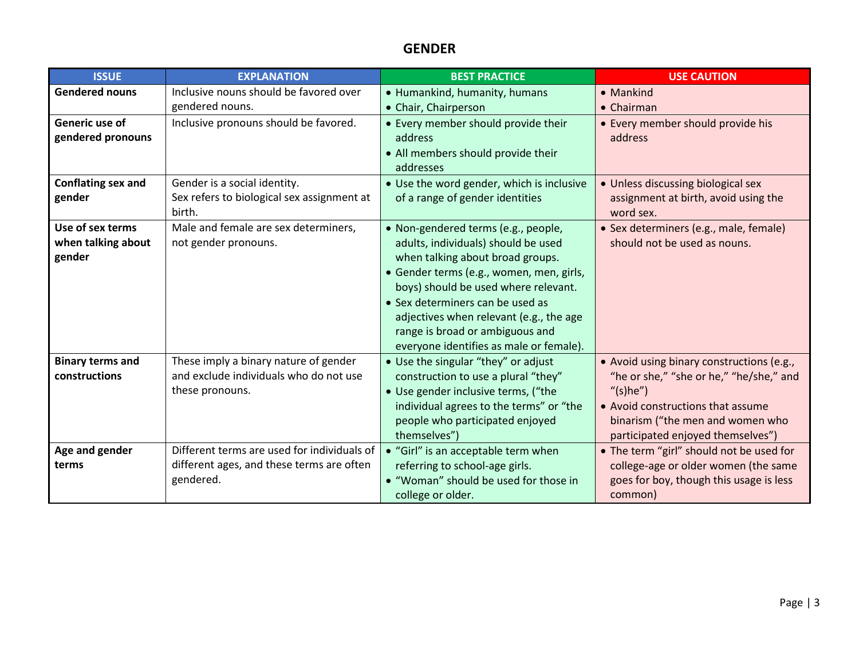### **GENDER**

| <b>ISSUE</b>            | <b>EXPLANATION</b>                                     | <b>BEST PRACTICE</b>                      | <b>USE CAUTION</b>                                 |
|-------------------------|--------------------------------------------------------|-------------------------------------------|----------------------------------------------------|
| <b>Gendered nouns</b>   | Inclusive nouns should be favored over                 | • Humankind, humanity, humans             | • Mankind                                          |
|                         | gendered nouns.                                        | • Chair, Chairperson                      | $\bullet$ Chairman                                 |
| Generic use of          | Inclusive pronouns should be favored.                  | • Every member should provide their       | • Every member should provide his                  |
| gendered pronouns       |                                                        | address                                   | address                                            |
|                         |                                                        | • All members should provide their        |                                                    |
|                         |                                                        | addresses                                 |                                                    |
| Conflating sex and      | Gender is a social identity.                           | • Use the word gender, which is inclusive | • Unless discussing biological sex                 |
| gender                  | Sex refers to biological sex assignment at             | of a range of gender identities           | assignment at birth, avoid using the               |
|                         | birth.                                                 |                                           | word sex.                                          |
| Use of sex terms        | Male and female are sex determiners,                   | · Non-gendered terms (e.g., people,       | · Sex determiners (e.g., male, female)             |
| when talking about      | not gender pronouns.                                   | adults, individuals) should be used       | should not be used as nouns.                       |
| gender                  |                                                        | when talking about broad groups.          |                                                    |
|                         |                                                        | · Gender terms (e.g., women, men, girls,  |                                                    |
|                         |                                                        | boys) should be used where relevant.      |                                                    |
|                         |                                                        | • Sex determiners can be used as          |                                                    |
|                         |                                                        | adjectives when relevant (e.g., the age   |                                                    |
|                         |                                                        | range is broad or ambiguous and           |                                                    |
|                         |                                                        | everyone identifies as male or female).   |                                                    |
| <b>Binary terms and</b> | These imply a binary nature of gender                  | • Use the singular "they" or adjust       | • Avoid using binary constructions (e.g.,          |
| constructions           | and exclude individuals who do not use                 | construction to use a plural "they"       | "he or she," "she or he," "he/she," and            |
|                         | these pronouns.                                        | • Use gender inclusive terms, ("the       | "(s)he")                                           |
|                         |                                                        | individual agrees to the terms" or "the   | • Avoid constructions that assume                  |
|                         |                                                        | people who participated enjoyed           | binarism ("the men and women who                   |
|                         | Different terms are used for individuals of            | themselves")                              | participated enjoyed themselves")                  |
| Age and gender          |                                                        | • "Girl" is an acceptable term when       | • The term "girl" should not be used for           |
| terms                   | different ages, and these terms are often<br>gendered. | referring to school-age girls.            | college-age or older women (the same               |
|                         |                                                        | • "Woman" should be used for those in     | goes for boy, though this usage is less<br>common) |
|                         |                                                        | college or older.                         |                                                    |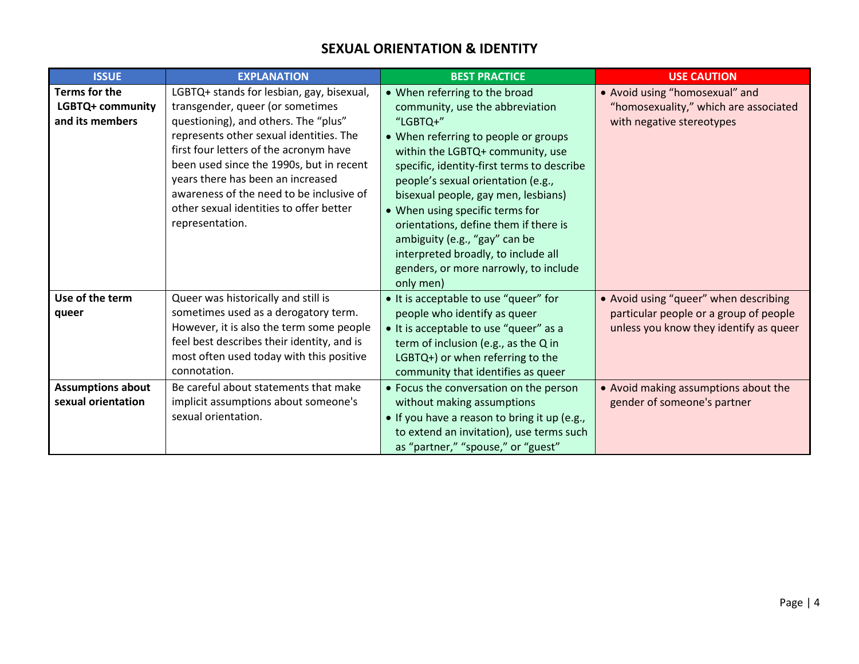#### **SEXUAL ORIENTATION & IDENTITY**

| <b>ISSUE</b>             | <b>EXPLANATION</b>                         | <b>BEST PRACTICE</b>                         | <b>USE CAUTION</b>                     |
|--------------------------|--------------------------------------------|----------------------------------------------|----------------------------------------|
| <b>Terms for the</b>     | LGBTQ+ stands for lesbian, gay, bisexual,  | • When referring to the broad                | • Avoid using "homosexual" and         |
| LGBTQ+ community         | transgender, queer (or sometimes           | community, use the abbreviation              | "homosexuality," which are associated  |
| and its members          | questioning), and others. The "plus"       | "LGBTQ+"                                     | with negative stereotypes              |
|                          | represents other sexual identities. The    | • When referring to people or groups         |                                        |
|                          | first four letters of the acronym have     | within the LGBTQ+ community, use             |                                        |
|                          | been used since the 1990s, but in recent   | specific, identity-first terms to describe   |                                        |
|                          | years there has been an increased          | people's sexual orientation (e.g.,           |                                        |
|                          | awareness of the need to be inclusive of   | bisexual people, gay men, lesbians)          |                                        |
|                          | other sexual identities to offer better    | • When using specific terms for              |                                        |
|                          | representation.                            | orientations, define them if there is        |                                        |
|                          |                                            | ambiguity (e.g., "gay" can be                |                                        |
|                          |                                            | interpreted broadly, to include all          |                                        |
|                          |                                            | genders, or more narrowly, to include        |                                        |
|                          |                                            | only men)                                    |                                        |
| Use of the term          | Queer was historically and still is        | • It is acceptable to use "queer" for        | • Avoid using "queer" when describing  |
| queer                    | sometimes used as a derogatory term.       | people who identify as queer                 | particular people or a group of people |
|                          | However, it is also the term some people   | • It is acceptable to use "queer" as a       | unless you know they identify as queer |
|                          | feel best describes their identity, and is | term of inclusion (e.g., as the Q in         |                                        |
|                          | most often used today with this positive   | LGBTQ+) or when referring to the             |                                        |
|                          | connotation.                               | community that identifies as queer           |                                        |
| <b>Assumptions about</b> | Be careful about statements that make      | • Focus the conversation on the person       | • Avoid making assumptions about the   |
| sexual orientation       | implicit assumptions about someone's       | without making assumptions                   | gender of someone's partner            |
|                          | sexual orientation.                        | • If you have a reason to bring it up (e.g., |                                        |
|                          |                                            | to extend an invitation), use terms such     |                                        |
|                          |                                            | as "partner," "spouse," or "guest"           |                                        |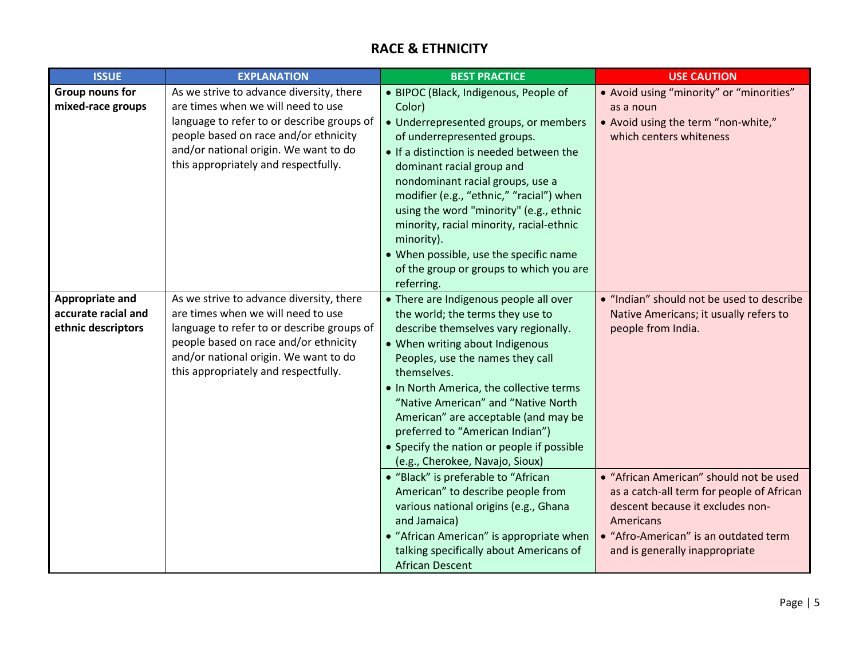## **RACE & ETHNICITY**

| <b>ISSUE</b>        | <b>EXPLANATION</b>                         | <b>BEST PRACTICE</b>                       | <b>USE CAUTION</b>                        |
|---------------------|--------------------------------------------|--------------------------------------------|-------------------------------------------|
| Group nouns for     | As we strive to advance diversity, there   | • BIPOC (Black, Indigenous, People of      | • Avoid using "minority" or "minorities"  |
| mixed-race groups   | are times when we will need to use         | Color)                                     | as a noun                                 |
|                     | language to refer to or describe groups of | • Underrepresented groups, or members      | • Avoid using the term "non-white,"       |
|                     | people based on race and/or ethnicity      | of underrepresented groups.                | which centers whiteness                   |
|                     | and/or national origin. We want to do      | • If a distinction is needed between the   |                                           |
|                     | this appropriately and respectfully.       | dominant racial group and                  |                                           |
|                     |                                            | nondominant racial groups, use a           |                                           |
|                     |                                            | modifier (e.g., "ethnic," "racial") when   |                                           |
|                     |                                            | using the word "minority" (e.g., ethnic    |                                           |
|                     |                                            | minority, racial minority, racial-ethnic   |                                           |
|                     |                                            | minority).                                 |                                           |
|                     |                                            | • When possible, use the specific name     |                                           |
|                     |                                            | of the group or groups to which you are    |                                           |
|                     |                                            | referring.                                 |                                           |
| Appropriate and     | As we strive to advance diversity, there   | • There are Indigenous people all over     | . "Indian" should not be used to describe |
| accurate racial and | are times when we will need to use         | the world; the terms they use to           | Native Americans; it usually refers to    |
| ethnic descriptors  | language to refer to or describe groups of | describe themselves vary regionally.       | people from India.                        |
|                     | people based on race and/or ethnicity      | • When writing about Indigenous            |                                           |
|                     | and/or national origin. We want to do      | Peoples, use the names they call           |                                           |
|                     | this appropriately and respectfully.       | themselves.                                |                                           |
|                     |                                            | . In North America, the collective terms   |                                           |
|                     |                                            | "Native American" and "Native North        |                                           |
|                     |                                            | American" are acceptable (and may be       |                                           |
|                     |                                            | preferred to "American Indian")            |                                           |
|                     |                                            | • Specify the nation or people if possible |                                           |
|                     |                                            | (e.g., Cherokee, Navajo, Sioux)            |                                           |
|                     |                                            | • "Black" is preferable to "African        | • "African American" should not be used   |
|                     |                                            | American" to describe people from          | as a catch-all term for people of African |
|                     |                                            | various national origins (e.g., Ghana      | descent because it excludes non-          |
|                     |                                            | and Jamaica)                               | Americans                                 |
|                     |                                            | • "African American" is appropriate when   | • "Afro-American" is an outdated term     |
|                     |                                            | talking specifically about Americans of    | and is generally inappropriate            |
|                     |                                            | <b>African Descent</b>                     |                                           |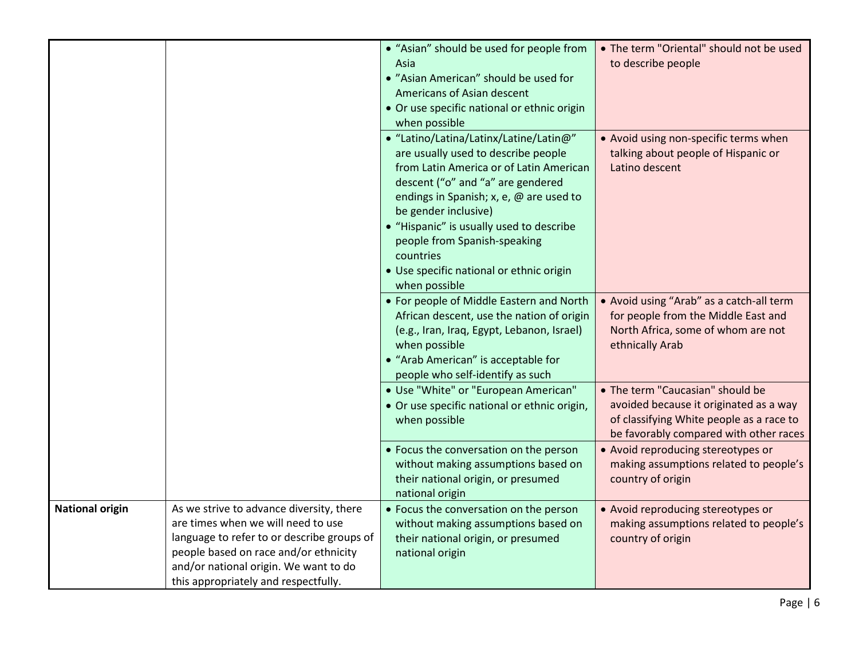|                        |                                            | • "Asian" should be used for people from     | . The term "Oriental" should not be used |
|------------------------|--------------------------------------------|----------------------------------------------|------------------------------------------|
|                        |                                            | Asia                                         | to describe people                       |
|                        |                                            | • "Asian American" should be used for        |                                          |
|                        |                                            | Americans of Asian descent                   |                                          |
|                        |                                            | • Or use specific national or ethnic origin  |                                          |
|                        |                                            | when possible                                |                                          |
|                        |                                            | • "Latino/Latina/Latinx/Latine/Latin@"       | • Avoid using non-specific terms when    |
|                        |                                            | are usually used to describe people          | talking about people of Hispanic or      |
|                        |                                            | from Latin America or of Latin American      | Latino descent                           |
|                        |                                            | descent ("o" and "a" are gendered            |                                          |
|                        |                                            | endings in Spanish; x, e, @ are used to      |                                          |
|                        |                                            | be gender inclusive)                         |                                          |
|                        |                                            | • "Hispanic" is usually used to describe     |                                          |
|                        |                                            | people from Spanish-speaking                 |                                          |
|                        |                                            | countries                                    |                                          |
|                        |                                            | • Use specific national or ethnic origin     |                                          |
|                        |                                            | when possible                                |                                          |
|                        |                                            | • For people of Middle Eastern and North     | • Avoid using "Arab" as a catch-all term |
|                        |                                            | African descent, use the nation of origin    | for people from the Middle East and      |
|                        |                                            | (e.g., Iran, Iraq, Egypt, Lebanon, Israel)   | North Africa, some of whom are not       |
|                        |                                            | when possible                                | ethnically Arab                          |
|                        |                                            | • "Arab American" is acceptable for          |                                          |
|                        |                                            | people who self-identify as such             |                                          |
|                        |                                            | · Use "White" or "European American"         | • The term "Caucasian" should be         |
|                        |                                            | • Or use specific national or ethnic origin, | avoided because it originated as a way   |
|                        |                                            | when possible                                | of classifying White people as a race to |
|                        |                                            |                                              | be favorably compared with other races   |
|                        |                                            | • Focus the conversation on the person       | • Avoid reproducing stereotypes or       |
|                        |                                            | without making assumptions based on          | making assumptions related to people's   |
|                        |                                            | their national origin, or presumed           | country of origin                        |
|                        |                                            | national origin                              |                                          |
| <b>National origin</b> | As we strive to advance diversity, there   | • Focus the conversation on the person       | • Avoid reproducing stereotypes or       |
|                        | are times when we will need to use         | without making assumptions based on          | making assumptions related to people's   |
|                        | language to refer to or describe groups of | their national origin, or presumed           | country of origin                        |
|                        | people based on race and/or ethnicity      | national origin                              |                                          |
|                        | and/or national origin. We want to do      |                                              |                                          |
|                        | this appropriately and respectfully.       |                                              |                                          |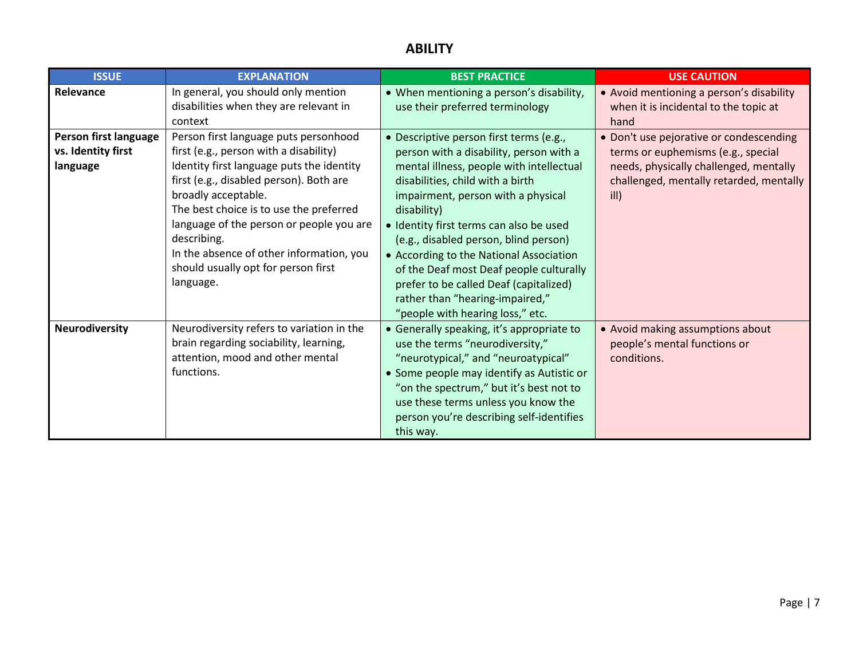# **ABILITY**

| <b>ISSUE</b>                                                         | <b>EXPLANATION</b>                                                                                                                                                                                                                                                                                                                    | <b>BEST PRACTICE</b>                                                                                                                                                                                                                                                                                        | <b>USE CAUTION</b>                                                                                                                                                                                                                                                                |
|----------------------------------------------------------------------|---------------------------------------------------------------------------------------------------------------------------------------------------------------------------------------------------------------------------------------------------------------------------------------------------------------------------------------|-------------------------------------------------------------------------------------------------------------------------------------------------------------------------------------------------------------------------------------------------------------------------------------------------------------|-----------------------------------------------------------------------------------------------------------------------------------------------------------------------------------------------------------------------------------------------------------------------------------|
| Relevance<br>Person first language<br>vs. Identity first<br>language | In general, you should only mention<br>disabilities when they are relevant in<br>context<br>Person first language puts personhood<br>first (e.g., person with a disability)<br>Identity first language puts the identity<br>first (e.g., disabled person). Both are<br>broadly acceptable.<br>The best choice is to use the preferred | • When mentioning a person's disability,<br>use their preferred terminology<br>• Descriptive person first terms (e.g.,<br>person with a disability, person with a<br>mental illness, people with intellectual<br>disabilities, child with a birth<br>impairment, person with a physical<br>disability)      | • Avoid mentioning a person's disability<br>when it is incidental to the topic at<br>hand<br>• Don't use pejorative or condescending<br>terms or euphemisms (e.g., special<br>needs, physically challenged, mentally<br>challenged, mentally retarded, mentally<br>$\mathsf{ill}$ |
|                                                                      | language of the person or people you are<br>describing.<br>In the absence of other information, you<br>should usually opt for person first<br>language.                                                                                                                                                                               | • Identity first terms can also be used<br>(e.g., disabled person, blind person)<br>• According to the National Association<br>of the Deaf most Deaf people culturally<br>prefer to be called Deaf (capitalized)<br>rather than "hearing-impaired,"<br>"people with hearing loss," etc.                     |                                                                                                                                                                                                                                                                                   |
| <b>Neurodiversity</b>                                                | Neurodiversity refers to variation in the<br>brain regarding sociability, learning,<br>attention, mood and other mental<br>functions.                                                                                                                                                                                                 | • Generally speaking, it's appropriate to<br>use the terms "neurodiversity,"<br>"neurotypical," and "neuroatypical"<br>• Some people may identify as Autistic or<br>"on the spectrum," but it's best not to<br>use these terms unless you know the<br>person you're describing self-identifies<br>this way. | • Avoid making assumptions about<br>people's mental functions or<br>conditions.                                                                                                                                                                                                   |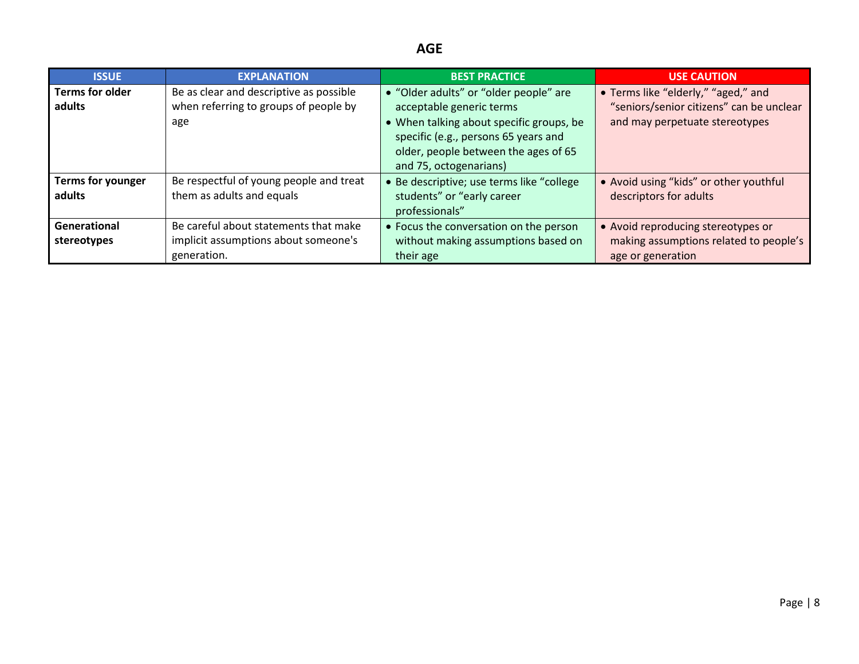# **AGE**

| <b>ISSUE</b>             | <b>EXPLANATION</b>                      | <b>BEST PRACTICE</b>                      | <b>USE CAUTION</b>                       |
|--------------------------|-----------------------------------------|-------------------------------------------|------------------------------------------|
| <b>Terms for older</b>   | Be as clear and descriptive as possible | • "Older adults" or "older people" are    | • Terms like "elderly," "aged," and      |
| adults                   | when referring to groups of people by   | acceptable generic terms                  | "seniors/senior citizens" can be unclear |
|                          | age                                     | • When talking about specific groups, be  | and may perpetuate stereotypes           |
|                          |                                         | specific (e.g., persons 65 years and      |                                          |
|                          |                                         | older, people between the ages of 65      |                                          |
|                          |                                         | and 75, octogenarians)                    |                                          |
| <b>Terms for younger</b> | Be respectful of young people and treat | • Be descriptive; use terms like "college | • Avoid using "kids" or other youthful   |
| adults                   | them as adults and equals               | students" or "early career                | descriptors for adults                   |
|                          |                                         | professionals"                            |                                          |
| Generational             | Be careful about statements that make   | • Focus the conversation on the person    | • Avoid reproducing stereotypes or       |
| stereotypes              | implicit assumptions about someone's    | without making assumptions based on       | making assumptions related to people's   |
|                          | generation.                             | their age                                 | age or generation                        |